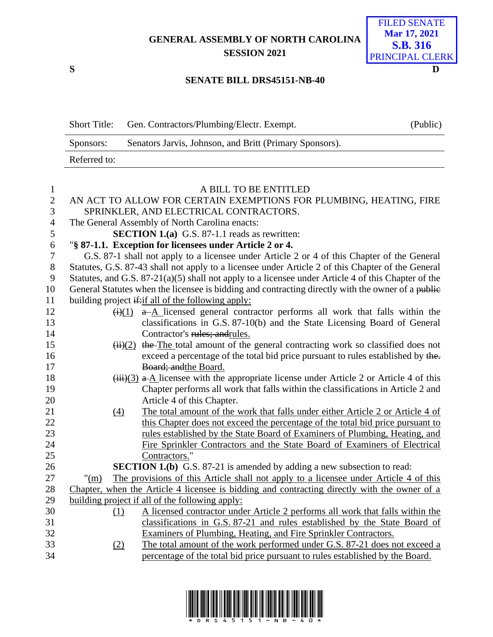**GENERAL ASSEMBLY OF NORTH CAROLINA SESSION 2021**

## FILED SENATE **Mar 17, 2021 S.B. 316** PRINCIPAL CLERK

## **SENATE BILL DRS45151-NB-40**

| <b>Short Title:</b> | Gen. Contractors/Plumbing/Electr. Exempt.               | (Public) |
|---------------------|---------------------------------------------------------|----------|
| Sponsors:           | Senators Jarvis, Johnson, and Britt (Primary Sponsors). |          |
| Referred to:        |                                                         |          |

| $\mathbf{1}$   | A BILL TO BE ENTITLED                                                                                   |  |  |  |  |  |  |
|----------------|---------------------------------------------------------------------------------------------------------|--|--|--|--|--|--|
| $\mathbf{2}$   | AN ACT TO ALLOW FOR CERTAIN EXEMPTIONS FOR PLUMBING, HEATING, FIRE                                      |  |  |  |  |  |  |
| 3              | SPRINKLER, AND ELECTRICAL CONTRACTORS.                                                                  |  |  |  |  |  |  |
| $\overline{4}$ | The General Assembly of North Carolina enacts:                                                          |  |  |  |  |  |  |
| $\mathfrak s$  | <b>SECTION 1.(a)</b> G.S. 87-1.1 reads as rewritten:                                                    |  |  |  |  |  |  |
| 6              | "§ 87-1.1. Exception for licensees under Article 2 or 4.                                                |  |  |  |  |  |  |
| $\tau$         | G.S. 87-1 shall not apply to a licensee under Article 2 or 4 of this Chapter of the General             |  |  |  |  |  |  |
| $8\,$          | Statutes, G.S. 87-43 shall not apply to a licensee under Article 2 of this Chapter of the General       |  |  |  |  |  |  |
| 9              | Statutes, and G.S. $87-21(a)(5)$ shall not apply to a licensee under Article 4 of this Chapter of the   |  |  |  |  |  |  |
| 10             | General Statutes when the licensee is bidding and contracting directly with the owner of a public       |  |  |  |  |  |  |
| 11             | building project if if all of the following apply:                                                      |  |  |  |  |  |  |
| 12             | $\overrightarrow{(i)}(1)$ a-A licensed general contractor performs all work that falls within the       |  |  |  |  |  |  |
| 13             | classifications in G.S. 87-10(b) and the State Licensing Board of General                               |  |  |  |  |  |  |
| 14             | Contractor's rules; andrules.                                                                           |  |  |  |  |  |  |
| 15             | $\frac{H}{H}$ (ii)(2) the The total amount of the general contracting work so classified does not       |  |  |  |  |  |  |
| 16             | exceed a percentage of the total bid price pursuant to rules established by the.                        |  |  |  |  |  |  |
| 17             | Board; and the Board.                                                                                   |  |  |  |  |  |  |
| 18             | $(iii)(3)$ a A licensee with the appropriate license under Article 2 or Article 4 of this               |  |  |  |  |  |  |
| 19             | Chapter performs all work that falls within the classifications in Article 2 and                        |  |  |  |  |  |  |
| 20             | Article 4 of this Chapter.                                                                              |  |  |  |  |  |  |
| 21             | The total amount of the work that falls under either Article 2 or Article 4 of<br>$\left(4\right)$      |  |  |  |  |  |  |
| 22             | this Chapter does not exceed the percentage of the total bid price pursuant to                          |  |  |  |  |  |  |
| 23             | rules established by the State Board of Examiners of Plumbing, Heating, and                             |  |  |  |  |  |  |
| 24             | Fire Sprinkler Contractors and the State Board of Examiners of Electrical                               |  |  |  |  |  |  |
| 25             | Contractors."                                                                                           |  |  |  |  |  |  |
| 26             | <b>SECTION 1.(b)</b> G.S. 87-21 is amended by adding a new subsection to read:                          |  |  |  |  |  |  |
| 27             | The provisions of this Article shall not apply to a licensee under Article 4 of this<br>" $\frac{m}{2}$ |  |  |  |  |  |  |
| 28             | Chapter, when the Article 4 licensee is bidding and contracting directly with the owner of a            |  |  |  |  |  |  |
| 29             | building project if all of the following apply:                                                         |  |  |  |  |  |  |
| 30             | A licensed contractor under Article 2 performs all work that falls within the<br>(1)                    |  |  |  |  |  |  |
| 31             | classifications in G.S. 87-21 and rules established by the State Board of                               |  |  |  |  |  |  |
| 32             | Examiners of Plumbing, Heating, and Fire Sprinkler Contractors.                                         |  |  |  |  |  |  |
| 33             | The total amount of the work performed under G.S. 87-21 does not exceed a<br>(2)                        |  |  |  |  |  |  |
| 34             | percentage of the total bid price pursuant to rules established by the Board.                           |  |  |  |  |  |  |
|                |                                                                                                         |  |  |  |  |  |  |



**S D**